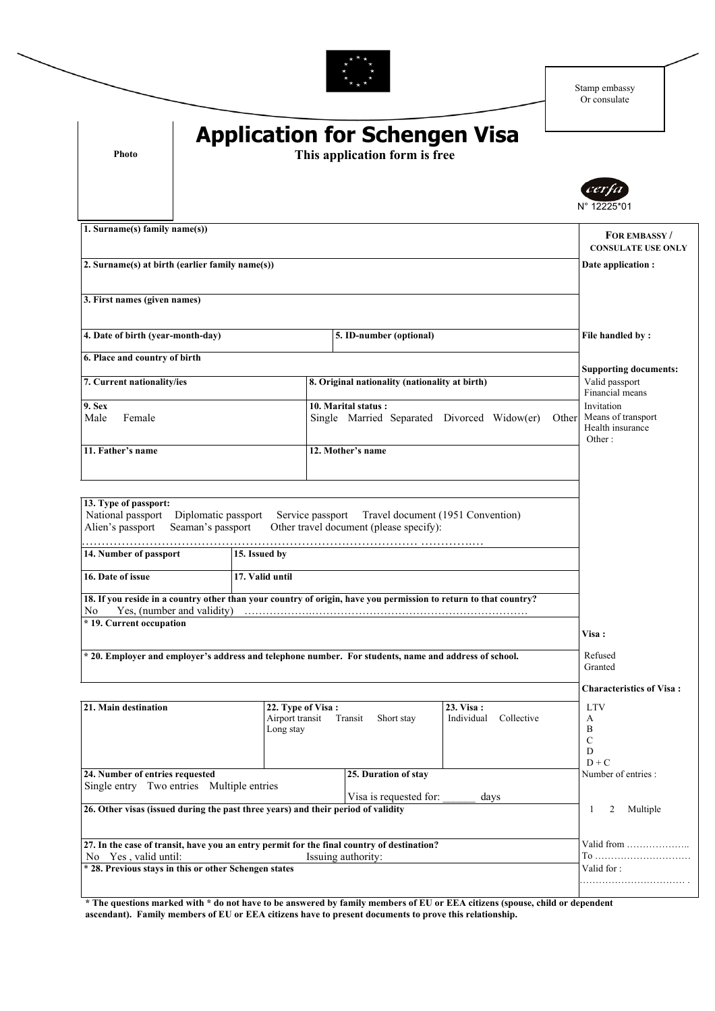

Stamp embassy Or consulate

| Photo                                                                                                              | <b>Application for Schengen Visa</b><br>This application form is free             |                                                                                                                  |                                                |                                                                |  |  |
|--------------------------------------------------------------------------------------------------------------------|-----------------------------------------------------------------------------------|------------------------------------------------------------------------------------------------------------------|------------------------------------------------|----------------------------------------------------------------|--|--|
|                                                                                                                    |                                                                                   |                                                                                                                  |                                                | cern<br>N° 12225*01                                            |  |  |
| 1. Surname(s) family name(s))                                                                                      | FOR EMBASSY/<br><b>CONSULATE USE ONLY</b>                                         |                                                                                                                  |                                                |                                                                |  |  |
| 2. Surname(s) at birth (earlier family name(s))                                                                    | Date application :                                                                |                                                                                                                  |                                                |                                                                |  |  |
| 3. First names (given names)                                                                                       |                                                                                   |                                                                                                                  |                                                |                                                                |  |  |
| 4. Date of birth (year-month-day)                                                                                  |                                                                                   | 5. ID-number (optional)                                                                                          | File handled by:                               |                                                                |  |  |
| 6. Place and country of birth                                                                                      |                                                                                   |                                                                                                                  |                                                | <b>Supporting documents:</b>                                   |  |  |
| 7. Current nationality/ies                                                                                         |                                                                                   |                                                                                                                  | 8. Original nationality (nationality at birth) |                                                                |  |  |
| 9. Sex<br>Male<br>Female                                                                                           |                                                                                   | 10. Marital status :<br>Single Married Separated Divorced Widow(er)                                              | Other                                          | Invitation<br>Means of transport<br>Health insurance<br>Other: |  |  |
| 11. Father's name                                                                                                  |                                                                                   | 12. Mother's name                                                                                                |                                                |                                                                |  |  |
| Alien's passport<br>14. Number of passport<br>16. Date of issue                                                    | Other travel document (please specify):<br>Seaman's passport<br>15. Issued by     |                                                                                                                  |                                                |                                                                |  |  |
|                                                                                                                    |                                                                                   | 17. Valid until                                                                                                  |                                                |                                                                |  |  |
| Yes, (number and validity)<br>No<br>* 19. Current occupation                                                       |                                                                                   | 18. If you reside in a country other than your country of origin, have you permission to return to that country? |                                                | <b>Visa :</b>                                                  |  |  |
|                                                                                                                    |                                                                                   | * 20. Employer and employer's address and telephone number. For students, name and address of school.            |                                                | Refused<br>Granted                                             |  |  |
|                                                                                                                    |                                                                                   |                                                                                                                  |                                                | <b>Characteristics of Visa:</b>                                |  |  |
| 22. Type of Visa:<br>21. Main destination<br>Airport transit<br>Long stay                                          |                                                                                   | Transit<br>Short stay                                                                                            | 23. Visa:<br>Individual<br>Collective          | <b>LTV</b><br>A<br>B<br>$\mathcal{C}$<br>D<br>$D + C$          |  |  |
| 24. Number of entries requested<br>Single entry Two entries Multiple entries                                       | Number of entries :                                                               |                                                                                                                  |                                                |                                                                |  |  |
|                                                                                                                    | 26. Other visas (issued during the past three years) and their period of validity | Visa is requested for:                                                                                           | days                                           | 2<br>Multiple<br>1                                             |  |  |
| 27. In the case of transit, have you an entry permit for the final country of destination?<br>No Yes, valid until: | To                                                                                |                                                                                                                  |                                                |                                                                |  |  |
|                                                                                                                    | * 28. Previous stays in this or other Schengen states                             | Issuing authority:                                                                                               |                                                | Valid for:                                                     |  |  |

**\* The questions marked with \* do not have to be answered by family members of EU or EEA citizens (spouse, child or dependent ascendant). Family members of EU or EEA citizens have to present documents to prove this relationship.**